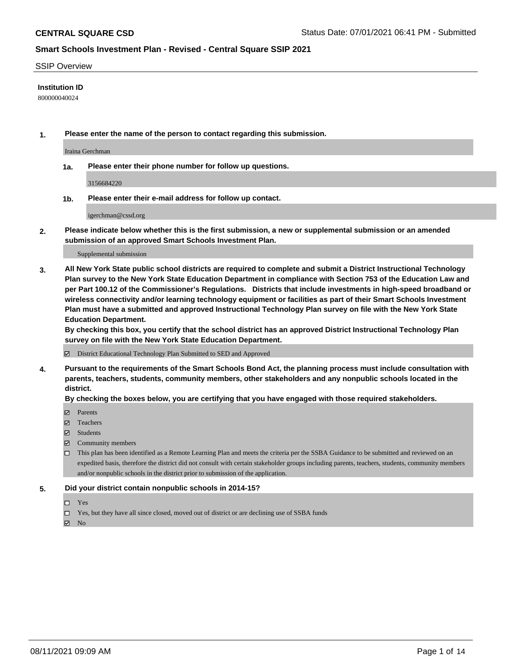### SSIP Overview

### **Institution ID**

800000040024

**1. Please enter the name of the person to contact regarding this submission.**

Iraina Gerchman

**1a. Please enter their phone number for follow up questions.**

3156684220

**1b. Please enter their e-mail address for follow up contact.**

igerchman@cssd.org

**2. Please indicate below whether this is the first submission, a new or supplemental submission or an amended submission of an approved Smart Schools Investment Plan.**

#### Supplemental submission

**3. All New York State public school districts are required to complete and submit a District Instructional Technology Plan survey to the New York State Education Department in compliance with Section 753 of the Education Law and per Part 100.12 of the Commissioner's Regulations. Districts that include investments in high-speed broadband or wireless connectivity and/or learning technology equipment or facilities as part of their Smart Schools Investment Plan must have a submitted and approved Instructional Technology Plan survey on file with the New York State Education Department.** 

**By checking this box, you certify that the school district has an approved District Instructional Technology Plan survey on file with the New York State Education Department.**

District Educational Technology Plan Submitted to SED and Approved

**4. Pursuant to the requirements of the Smart Schools Bond Act, the planning process must include consultation with parents, teachers, students, community members, other stakeholders and any nonpublic schools located in the district.** 

### **By checking the boxes below, you are certifying that you have engaged with those required stakeholders.**

- **Parents**
- Teachers
- Students
- $\boxtimes$  Community members
- This plan has been identified as a Remote Learning Plan and meets the criteria per the SSBA Guidance to be submitted and reviewed on an expedited basis, therefore the district did not consult with certain stakeholder groups including parents, teachers, students, community members and/or nonpublic schools in the district prior to submission of the application.
- **5. Did your district contain nonpublic schools in 2014-15?**
	- □ Yes
	- □ Yes, but they have all since closed, moved out of district or are declining use of SSBA funds

 $M$  No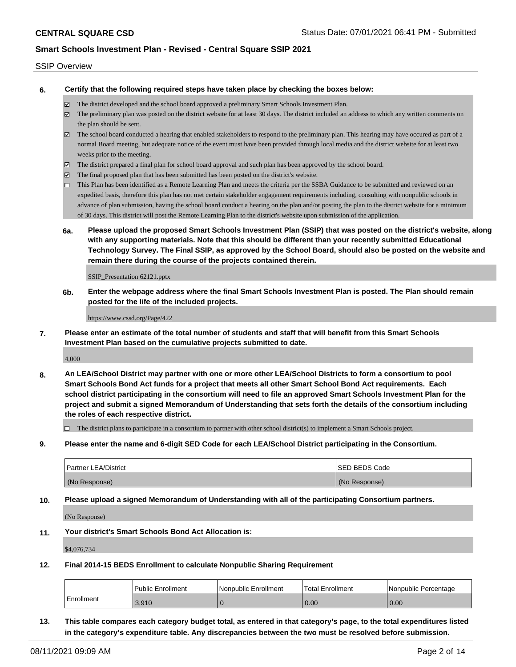### SSIP Overview

**6. Certify that the following required steps have taken place by checking the boxes below:**

- The district developed and the school board approved a preliminary Smart Schools Investment Plan.
- The preliminary plan was posted on the district website for at least 30 days. The district included an address to which any written comments on the plan should be sent.
- $\boxtimes$  The school board conducted a hearing that enabled stakeholders to respond to the preliminary plan. This hearing may have occured as part of a normal Board meeting, but adequate notice of the event must have been provided through local media and the district website for at least two weeks prior to the meeting.
- The district prepared a final plan for school board approval and such plan has been approved by the school board.
- $\boxtimes$  The final proposed plan that has been submitted has been posted on the district's website.
- This Plan has been identified as a Remote Learning Plan and meets the criteria per the SSBA Guidance to be submitted and reviewed on an expedited basis, therefore this plan has not met certain stakeholder engagement requirements including, consulting with nonpublic schools in advance of plan submission, having the school board conduct a hearing on the plan and/or posting the plan to the district website for a minimum of 30 days. This district will post the Remote Learning Plan to the district's website upon submission of the application.
- **6a. Please upload the proposed Smart Schools Investment Plan (SSIP) that was posted on the district's website, along with any supporting materials. Note that this should be different than your recently submitted Educational Technology Survey. The Final SSIP, as approved by the School Board, should also be posted on the website and remain there during the course of the projects contained therein.**

SSIP\_Presentation 62121.pptx

**6b. Enter the webpage address where the final Smart Schools Investment Plan is posted. The Plan should remain posted for the life of the included projects.**

https://www.cssd.org/Page/422

**7. Please enter an estimate of the total number of students and staff that will benefit from this Smart Schools Investment Plan based on the cumulative projects submitted to date.**

4,000

**8. An LEA/School District may partner with one or more other LEA/School Districts to form a consortium to pool Smart Schools Bond Act funds for a project that meets all other Smart School Bond Act requirements. Each school district participating in the consortium will need to file an approved Smart Schools Investment Plan for the project and submit a signed Memorandum of Understanding that sets forth the details of the consortium including the roles of each respective district.**

 $\Box$  The district plans to participate in a consortium to partner with other school district(s) to implement a Smart Schools project.

**9. Please enter the name and 6-digit SED Code for each LEA/School District participating in the Consortium.**

| <b>Partner LEA/District</b> | <b>ISED BEDS Code</b> |
|-----------------------------|-----------------------|
| (No Response)               | (No Response)         |

**10. Please upload a signed Memorandum of Understanding with all of the participating Consortium partners.**

(No Response)

**11. Your district's Smart Schools Bond Act Allocation is:**

\$4,076,734

**12. Final 2014-15 BEDS Enrollment to calculate Nonpublic Sharing Requirement**

|            | <b>Public Enrollment</b> | l Nonpublic Enrollment | Total Enrollment | I Nonpublic Percentage |
|------------|--------------------------|------------------------|------------------|------------------------|
| Enrollment | 3.910                    |                        | 0.00             | 0.00                   |

**13. This table compares each category budget total, as entered in that category's page, to the total expenditures listed in the category's expenditure table. Any discrepancies between the two must be resolved before submission.**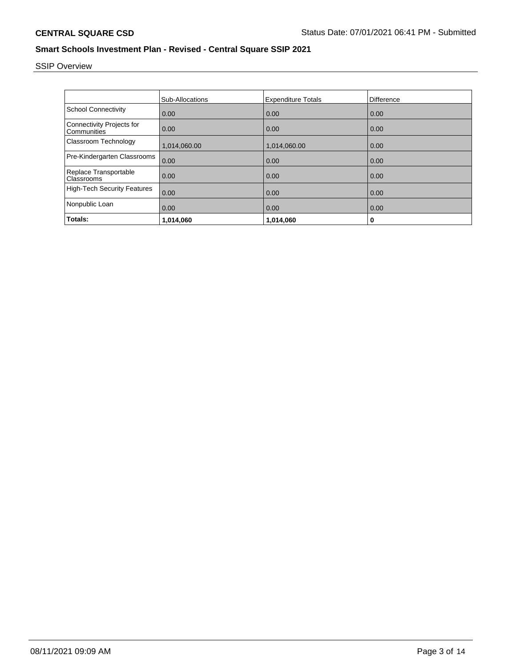# SSIP Overview

|                                                 | Sub-Allocations | <b>Expenditure Totals</b> | Difference |
|-------------------------------------------------|-----------------|---------------------------|------------|
| <b>School Connectivity</b>                      | 0.00            | 0.00                      | 0.00       |
| <b>Connectivity Projects for</b><br>Communities | 0.00            | 0.00                      | 0.00       |
| Classroom Technology                            | 1,014,060.00    | 1,014,060.00              | 0.00       |
| Pre-Kindergarten Classrooms                     | 0.00            | 0.00                      | 0.00       |
| Replace Transportable<br>Classrooms             | 0.00            | 0.00                      | 0.00       |
| <b>High-Tech Security Features</b>              | 0.00            | 0.00                      | 0.00       |
| Nonpublic Loan                                  | 0.00            | 0.00                      | 0.00       |
| Totals:                                         | 1,014,060       | 1,014,060                 | 0          |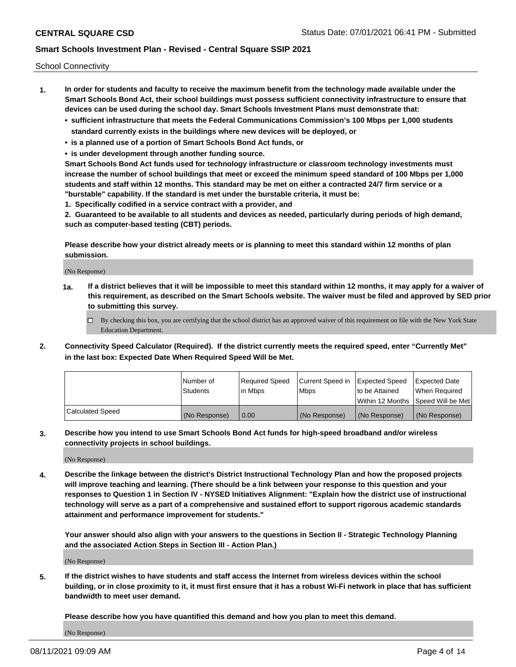School Connectivity

- **1. In order for students and faculty to receive the maximum benefit from the technology made available under the Smart Schools Bond Act, their school buildings must possess sufficient connectivity infrastructure to ensure that devices can be used during the school day. Smart Schools Investment Plans must demonstrate that:**
	- **• sufficient infrastructure that meets the Federal Communications Commission's 100 Mbps per 1,000 students standard currently exists in the buildings where new devices will be deployed, or**
	- **• is a planned use of a portion of Smart Schools Bond Act funds, or**
	- **• is under development through another funding source.**

**Smart Schools Bond Act funds used for technology infrastructure or classroom technology investments must increase the number of school buildings that meet or exceed the minimum speed standard of 100 Mbps per 1,000 students and staff within 12 months. This standard may be met on either a contracted 24/7 firm service or a "burstable" capability. If the standard is met under the burstable criteria, it must be:**

**1. Specifically codified in a service contract with a provider, and**

**2. Guaranteed to be available to all students and devices as needed, particularly during periods of high demand, such as computer-based testing (CBT) periods.**

**Please describe how your district already meets or is planning to meet this standard within 12 months of plan submission.**

(No Response)

**1a. If a district believes that it will be impossible to meet this standard within 12 months, it may apply for a waiver of this requirement, as described on the Smart Schools website. The waiver must be filed and approved by SED prior to submitting this survey.**

 $\Box$  By checking this box, you are certifying that the school district has an approved waiver of this requirement on file with the New York State Education Department.

**2. Connectivity Speed Calculator (Required). If the district currently meets the required speed, enter "Currently Met" in the last box: Expected Date When Required Speed Will be Met.**

|                  | l Number of     | Required Speed | Current Speed in | Expected Speed  | Expected Date                           |
|------------------|-----------------|----------------|------------------|-----------------|-----------------------------------------|
|                  | <b>Students</b> | In Mbps        | l Mbps           | to be Attained  | When Required                           |
|                  |                 |                |                  |                 | l Within 12 Months ISpeed Will be Met l |
| Calculated Speed | (No Response)   | 0.00           | (No Response)    | l (No Response) | l (No Response)                         |

**3. Describe how you intend to use Smart Schools Bond Act funds for high-speed broadband and/or wireless connectivity projects in school buildings.**

(No Response)

**4. Describe the linkage between the district's District Instructional Technology Plan and how the proposed projects will improve teaching and learning. (There should be a link between your response to this question and your responses to Question 1 in Section IV - NYSED Initiatives Alignment: "Explain how the district use of instructional technology will serve as a part of a comprehensive and sustained effort to support rigorous academic standards attainment and performance improvement for students."** 

**Your answer should also align with your answers to the questions in Section II - Strategic Technology Planning and the associated Action Steps in Section III - Action Plan.)**

(No Response)

**5. If the district wishes to have students and staff access the Internet from wireless devices within the school building, or in close proximity to it, it must first ensure that it has a robust Wi-Fi network in place that has sufficient bandwidth to meet user demand.**

**Please describe how you have quantified this demand and how you plan to meet this demand.**

(No Response)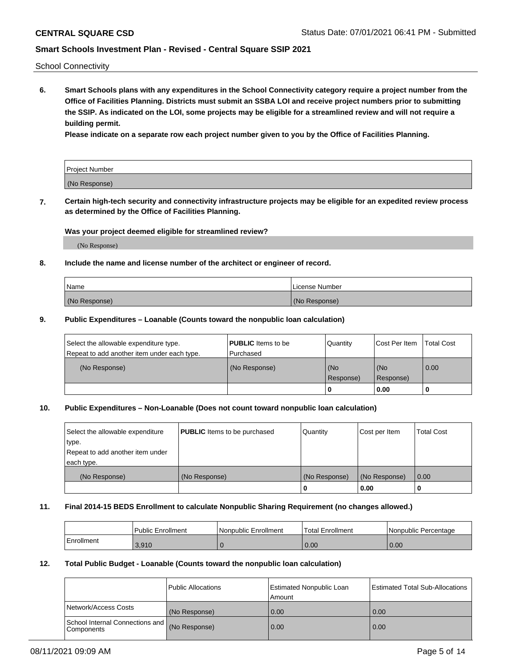School Connectivity

**6. Smart Schools plans with any expenditures in the School Connectivity category require a project number from the Office of Facilities Planning. Districts must submit an SSBA LOI and receive project numbers prior to submitting the SSIP. As indicated on the LOI, some projects may be eligible for a streamlined review and will not require a building permit.**

**Please indicate on a separate row each project number given to you by the Office of Facilities Planning.**

| Project Number |  |
|----------------|--|
| (No Response)  |  |

**7. Certain high-tech security and connectivity infrastructure projects may be eligible for an expedited review process as determined by the Office of Facilities Planning.**

### **Was your project deemed eligible for streamlined review?**

(No Response)

### **8. Include the name and license number of the architect or engineer of record.**

| Name          | License Number |
|---------------|----------------|
| (No Response) | (No Response)  |

### **9. Public Expenditures – Loanable (Counts toward the nonpublic loan calculation)**

| Select the allowable expenditure type.<br>Repeat to add another item under each type. | <b>PUBLIC</b> Items to be<br>l Purchased | Quantity           | Cost Per Item    | <b>Total Cost</b> |
|---------------------------------------------------------------------------------------|------------------------------------------|--------------------|------------------|-------------------|
| (No Response)                                                                         | (No Response)                            | l (No<br>Response) | (No<br>Response) | $\overline{0.00}$ |
|                                                                                       |                                          | 0                  | 0.00             |                   |

## **10. Public Expenditures – Non-Loanable (Does not count toward nonpublic loan calculation)**

| Select the allowable expenditure | <b>PUBLIC</b> Items to be purchased | Quantity      | Cost per Item | <b>Total Cost</b> |
|----------------------------------|-------------------------------------|---------------|---------------|-------------------|
| type.                            |                                     |               |               |                   |
| Repeat to add another item under |                                     |               |               |                   |
| each type.                       |                                     |               |               |                   |
| (No Response)                    | (No Response)                       | (No Response) | (No Response) | 0.00              |
|                                  |                                     |               | 0.00          |                   |

### **11. Final 2014-15 BEDS Enrollment to calculate Nonpublic Sharing Requirement (no changes allowed.)**

|            | Public Enrollment | l Nonpublic Enrollment | <b>Total Enrollment</b> | Nonpublic Percentage |
|------------|-------------------|------------------------|-------------------------|----------------------|
| Enrollment | 3.910             |                        | 0.00                    | 0.00                 |

### **12. Total Public Budget - Loanable (Counts toward the nonpublic loan calculation)**

|                                                      | Public Allocations | <b>Estimated Nonpublic Loan</b><br>Amount | Estimated Total Sub-Allocations |
|------------------------------------------------------|--------------------|-------------------------------------------|---------------------------------|
| Network/Access Costs                                 | (No Response)      | 0.00                                      | 0.00                            |
| School Internal Connections and<br><b>Components</b> | (No Response)      | 0.00                                      | 0.00                            |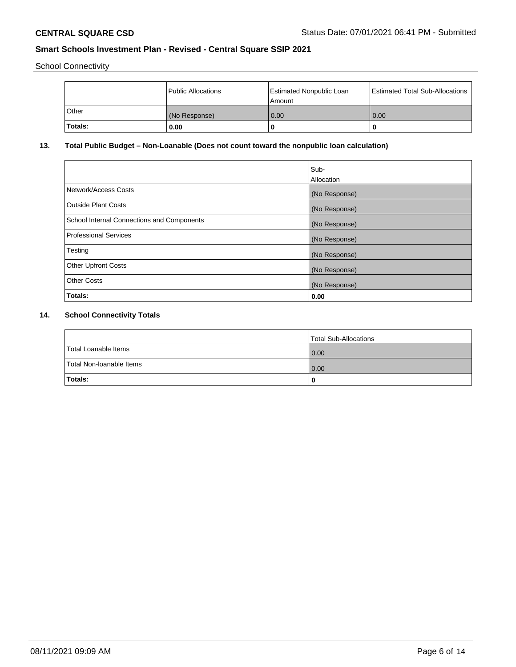School Connectivity

|         | Public Allocations | <b>Estimated Nonpublic Loan</b><br>l Amount | <b>Estimated Total Sub-Allocations</b> |
|---------|--------------------|---------------------------------------------|----------------------------------------|
| l Other | (No Response)      | 0.00                                        | 0.00                                   |
| Totals: | 0.00               | 0                                           |                                        |

## **13. Total Public Budget – Non-Loanable (Does not count toward the nonpublic loan calculation)**

|                                                   | Sub-<br>Allocation |
|---------------------------------------------------|--------------------|
|                                                   |                    |
| Network/Access Costs                              | (No Response)      |
| <b>Outside Plant Costs</b>                        | (No Response)      |
| <b>School Internal Connections and Components</b> | (No Response)      |
| Professional Services                             | (No Response)      |
| Testing                                           | (No Response)      |
| <b>Other Upfront Costs</b>                        | (No Response)      |
| <b>Other Costs</b>                                | (No Response)      |
| <b>Totals:</b>                                    | 0.00               |

## **14. School Connectivity Totals**

|                          | Total Sub-Allocations |
|--------------------------|-----------------------|
| Total Loanable Items     | 0.00                  |
| Total Non-Ioanable Items | 0.00                  |
| Totals:                  | 0                     |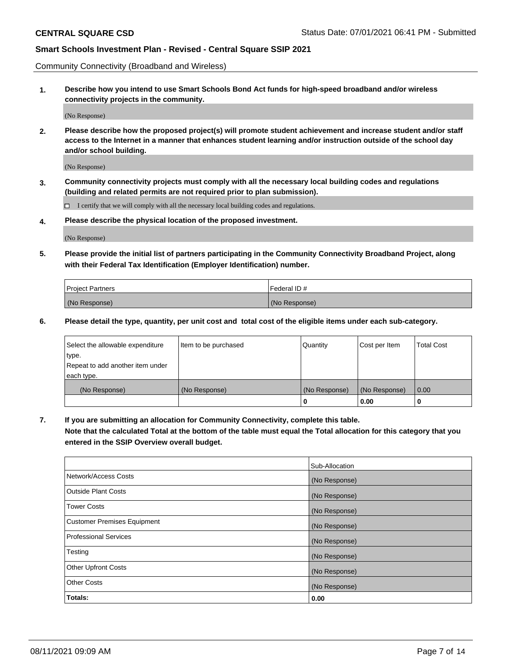Community Connectivity (Broadband and Wireless)

**1. Describe how you intend to use Smart Schools Bond Act funds for high-speed broadband and/or wireless connectivity projects in the community.**

(No Response)

**2. Please describe how the proposed project(s) will promote student achievement and increase student and/or staff access to the Internet in a manner that enhances student learning and/or instruction outside of the school day and/or school building.**

(No Response)

**3. Community connectivity projects must comply with all the necessary local building codes and regulations (building and related permits are not required prior to plan submission).**

 $\Box$  I certify that we will comply with all the necessary local building codes and regulations.

**4. Please describe the physical location of the proposed investment.**

(No Response)

**5. Please provide the initial list of partners participating in the Community Connectivity Broadband Project, along with their Federal Tax Identification (Employer Identification) number.**

| <b>Project Partners</b> | l Federal ID # |
|-------------------------|----------------|
| (No Response)           | (No Response)  |

**6. Please detail the type, quantity, per unit cost and total cost of the eligible items under each sub-category.**

| Select the allowable expenditure | Item to be purchased | Quantity      | Cost per Item | <b>Total Cost</b> |
|----------------------------------|----------------------|---------------|---------------|-------------------|
| type.                            |                      |               |               |                   |
| Repeat to add another item under |                      |               |               |                   |
| each type.                       |                      |               |               |                   |
| (No Response)                    | (No Response)        | (No Response) | (No Response) | 0.00              |
|                                  |                      | U             | 0.00          |                   |

**7. If you are submitting an allocation for Community Connectivity, complete this table.**

**Note that the calculated Total at the bottom of the table must equal the Total allocation for this category that you entered in the SSIP Overview overall budget.**

|                                    | Sub-Allocation |
|------------------------------------|----------------|
| Network/Access Costs               | (No Response)  |
| Outside Plant Costs                | (No Response)  |
| <b>Tower Costs</b>                 | (No Response)  |
| <b>Customer Premises Equipment</b> | (No Response)  |
| <b>Professional Services</b>       | (No Response)  |
| Testing                            | (No Response)  |
| <b>Other Upfront Costs</b>         | (No Response)  |
| <b>Other Costs</b>                 | (No Response)  |
| Totals:                            | 0.00           |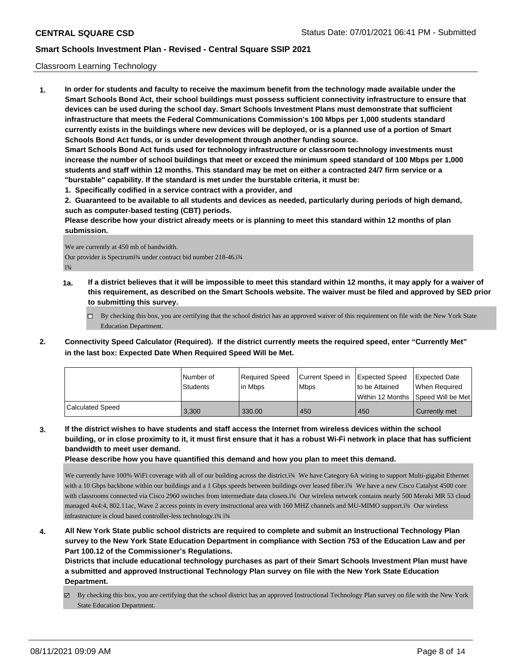### Classroom Learning Technology

**1. In order for students and faculty to receive the maximum benefit from the technology made available under the Smart Schools Bond Act, their school buildings must possess sufficient connectivity infrastructure to ensure that devices can be used during the school day. Smart Schools Investment Plans must demonstrate that sufficient infrastructure that meets the Federal Communications Commission's 100 Mbps per 1,000 students standard currently exists in the buildings where new devices will be deployed, or is a planned use of a portion of Smart Schools Bond Act funds, or is under development through another funding source. Smart Schools Bond Act funds used for technology infrastructure or classroom technology investments must increase the number of school buildings that meet or exceed the minimum speed standard of 100 Mbps per 1,000**

**students and staff within 12 months. This standard may be met on either a contracted 24/7 firm service or a "burstable" capability. If the standard is met under the burstable criteria, it must be:**

**1. Specifically codified in a service contract with a provider, and**

**2. Guaranteed to be available to all students and devices as needed, particularly during periods of high demand, such as computer-based testing (CBT) periods.**

**Please describe how your district already meets or is planning to meet this standard within 12 months of plan submission.**

We are currently at 450 mb of bandwidth. Our provider is Spectrumï¾ under contract bid number 218-46.ï¾ ï¾

- **1a. If a district believes that it will be impossible to meet this standard within 12 months, it may apply for a waiver of this requirement, as described on the Smart Schools website. The waiver must be filed and approved by SED prior to submitting this survey.**
	- $\Box$  By checking this box, you are certifying that the school district has an approved waiver of this requirement on file with the New York State Education Department.
- **2. Connectivity Speed Calculator (Required). If the district currently meets the required speed, enter "Currently Met" in the last box: Expected Date When Required Speed Will be Met.**

|                  | l Number of<br>Students | Required Speed<br>lin Mbps | Current Speed in<br><b>Mbps</b> | <b>Expected Speed</b><br>to be Attained | Expected Date<br>When Required          |
|------------------|-------------------------|----------------------------|---------------------------------|-----------------------------------------|-----------------------------------------|
|                  |                         |                            |                                 |                                         | l Within 12 Months ISpeed Will be Met l |
| Calculated Speed | 3.300                   | 330.00                     | 450                             | 450                                     | Currently met                           |

**3. If the district wishes to have students and staff access the Internet from wireless devices within the school building, or in close proximity to it, it must first ensure that it has a robust Wi-Fi network in place that has sufficient bandwidth to meet user demand.**

**Please describe how you have quantified this demand and how you plan to meet this demand.**

We currently have 100% WiFi coverage with all of our building across the district.ï¾ We have Category 6A wiring to support Multi-gigabit Ethernet with a 10 Gbps backbone within our buildings and a 1 Gbps speeds between buildings over leased fiber.ï% We have a new Cisco Catalyst 4500 core with classrooms connected via Cisco 2960 switches from intermediate data closets.ï¾ Our wireless network contains nearly 500 Meraki MR 53 cloud managed 4x4:4, 802.11ac, Wave 2 access points in every instructional area with 160 MHZ channels and MU-MIMO support.ï¾ Our wireless infrastructure is cloud based controller-less technology.ï¾ ï¾

**4. All New York State public school districts are required to complete and submit an Instructional Technology Plan survey to the New York State Education Department in compliance with Section 753 of the Education Law and per Part 100.12 of the Commissioner's Regulations.**

**Districts that include educational technology purchases as part of their Smart Schools Investment Plan must have a submitted and approved Instructional Technology Plan survey on file with the New York State Education Department.**

By checking this box, you are certifying that the school district has an approved Instructional Technology Plan survey on file with the New York State Education Department.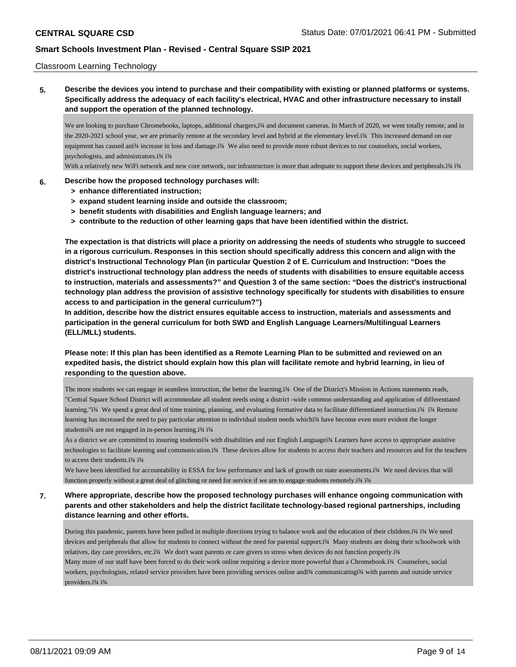### Classroom Learning Technology

**5. Describe the devices you intend to purchase and their compatibility with existing or planned platforms or systems. Specifically address the adequacy of each facility's electrical, HVAC and other infrastructure necessary to install and support the operation of the planned technology.**

We are looking to purchase Chromebooks, laptops, additional chargers,ï¾ and document cameras. In March of 2020, we went totally remote, and in the 2020-2021 school year, we are primarily remote at the secondary level and hybrid at the elementary level.ï¾ This increased demand on our equipment has caused anï¼ increase in loss and damage.ï¾ We also need to provide more robust devices to our counselors, social workers, psychologists, and administrators.ï¾ ï¾

With a relatively new WiFi network and new core network, our infrastructure is more than adequate to support these devices and peripherals.ï¾ ï¾

### **6. Describe how the proposed technology purchases will:**

- **> enhance differentiated instruction;**
- **> expand student learning inside and outside the classroom;**
- **> benefit students with disabilities and English language learners; and**
- **> contribute to the reduction of other learning gaps that have been identified within the district.**

**The expectation is that districts will place a priority on addressing the needs of students who struggle to succeed in a rigorous curriculum. Responses in this section should specifically address this concern and align with the district's Instructional Technology Plan (in particular Question 2 of E. Curriculum and Instruction: "Does the district's instructional technology plan address the needs of students with disabilities to ensure equitable access to instruction, materials and assessments?" and Question 3 of the same section: "Does the district's instructional technology plan address the provision of assistive technology specifically for students with disabilities to ensure access to and participation in the general curriculum?")**

**In addition, describe how the district ensures equitable access to instruction, materials and assessments and participation in the general curriculum for both SWD and English Language Learners/Multilingual Learners (ELL/MLL) students.**

**Please note: If this plan has been identified as a Remote Learning Plan to be submitted and reviewed on an expedited basis, the district should explain how this plan will facilitate remote and hybrid learning, in lieu of responding to the question above.**

The more students we can engage in seamless instruction, the better the learning.ï¾ One of the District's Mission in Actions statements reads, "Central Square School District will accommodate all student needs using a district -wide common understanding and application of differentiated learning."ï¾ We spend a great deal of time training, planning, and evaluating formative data to facilitate differentiated instruction.ï¾ ï¾ Remote learning has increased the need to pay particular attention to individual student needs whichï¾ have become even more evident the longer studentsï¾ are not engaged in in-person learning.ï¾ ï¾

As a district we are committed to insuring studentsï¾ with disabilities and our English Languageï¾ Learners have access to appropriate assistive technologies to facilitate learning and communication.ï¾ These devices allow for students to access their teachers and resources and for the teachers to access their students.ï¾ ï¾

We have been identified for accountability in ESSA for low performance and lack of growth on state assessments.ï¾ We need devices that will function properly without a great deal of glitching or need for service if we are to engage students remotely.ï¾ ï¾

## **7. Where appropriate, describe how the proposed technology purchases will enhance ongoing communication with parents and other stakeholders and help the district facilitate technology-based regional partnerships, including distance learning and other efforts.**

During this pandemic, parents have been pulled in multiple directions trying to balance work and the education of their children.ï¾ ï¾ We need devices and peripherals that allow for students to connect without the need for parental support.ï¾ Many students are doing their schoolwork with relatives, day care providers, etc.ï¾ We don't want parents or care givers to stress when devices do not function properly.ï¾ Many more of our staff have been forced to do their work online requiring a device more powerful than a Chromebook.i¾ Counselors, social workers, psychologists, related service providers have been providing services online andï¾ communicatingï¾ with parents and outside service providers.ï¾ ï¾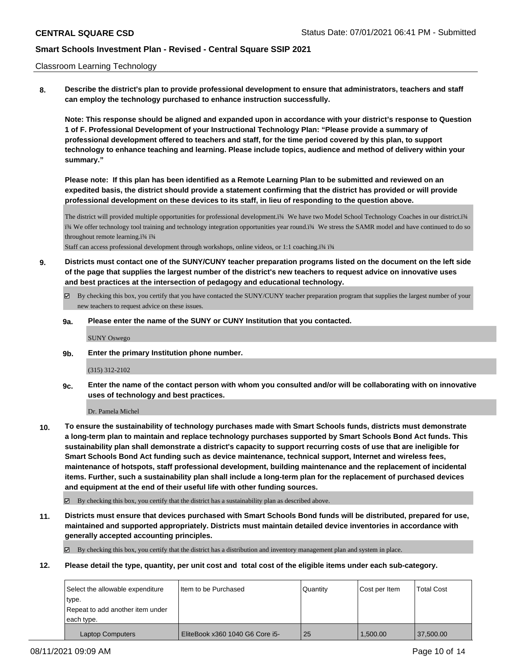### Classroom Learning Technology

**8. Describe the district's plan to provide professional development to ensure that administrators, teachers and staff can employ the technology purchased to enhance instruction successfully.**

**Note: This response should be aligned and expanded upon in accordance with your district's response to Question 1 of F. Professional Development of your Instructional Technology Plan: "Please provide a summary of professional development offered to teachers and staff, for the time period covered by this plan, to support technology to enhance teaching and learning. Please include topics, audience and method of delivery within your summary."**

**Please note: If this plan has been identified as a Remote Learning Plan to be submitted and reviewed on an expedited basis, the district should provide a statement confirming that the district has provided or will provide professional development on these devices to its staff, in lieu of responding to the question above.**

The district will provided multiple opportunities for professional development.ï¾ We have two Model School Technology Coaches in our district.ï¾ ï¾ We offer technology tool training and technology integration opportunities year round.ï¾ We stress the SAMR model and have continued to do so throughout remote learning.ï¾ ï¾

Staff can access professional development through workshops, online videos, or 1:1 coaching.ï¾ ï¾

- **9. Districts must contact one of the SUNY/CUNY teacher preparation programs listed on the document on the left side of the page that supplies the largest number of the district's new teachers to request advice on innovative uses and best practices at the intersection of pedagogy and educational technology.**
	- By checking this box, you certify that you have contacted the SUNY/CUNY teacher preparation program that supplies the largest number of your new teachers to request advice on these issues.
	- **9a. Please enter the name of the SUNY or CUNY Institution that you contacted.**

SUNY Oswego

**9b. Enter the primary Institution phone number.**

(315) 312-2102

**9c. Enter the name of the contact person with whom you consulted and/or will be collaborating with on innovative uses of technology and best practices.**

Dr. Pamela Michel

**10. To ensure the sustainability of technology purchases made with Smart Schools funds, districts must demonstrate a long-term plan to maintain and replace technology purchases supported by Smart Schools Bond Act funds. This sustainability plan shall demonstrate a district's capacity to support recurring costs of use that are ineligible for Smart Schools Bond Act funding such as device maintenance, technical support, Internet and wireless fees, maintenance of hotspots, staff professional development, building maintenance and the replacement of incidental items. Further, such a sustainability plan shall include a long-term plan for the replacement of purchased devices and equipment at the end of their useful life with other funding sources.**

By checking this box, you certify that the district has a sustainability plan as described above.

**11. Districts must ensure that devices purchased with Smart Schools Bond funds will be distributed, prepared for use, maintained and supported appropriately. Districts must maintain detailed device inventories in accordance with generally accepted accounting principles.**

By checking this box, you certify that the district has a distribution and inventory management plan and system in place.

**12. Please detail the type, quantity, per unit cost and total cost of the eligible items under each sub-category.**

| Select the allowable expenditure | I Item to be Purchased          | l Quantitv | Cost per Item | <b>Total Cost</b> |
|----------------------------------|---------------------------------|------------|---------------|-------------------|
| type.                            |                                 |            |               |                   |
| Repeat to add another item under |                                 |            |               |                   |
| each type.                       |                                 |            |               |                   |
| <b>Laptop Computers</b>          | EliteBook x360 1040 G6 Core i5- | 25         | 1,500.00      | 37,500.00         |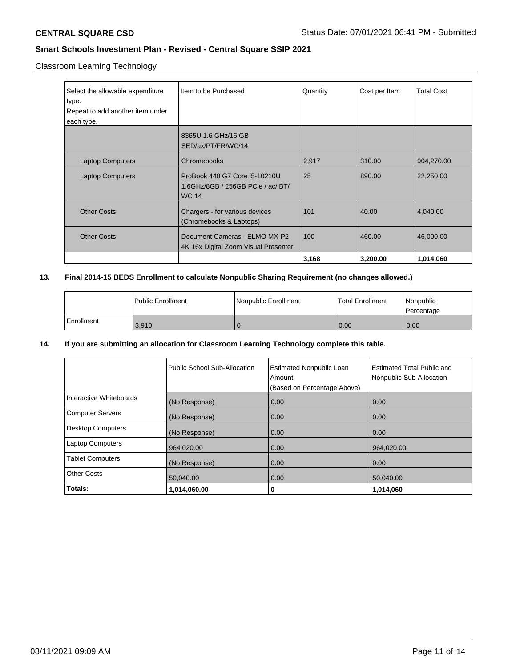Classroom Learning Technology

| Select the allowable expenditure<br>type.<br>Repeat to add another item under<br>each type. | Item to be Purchased                                                               | Quantity | Cost per Item | <b>Total Cost</b> |
|---------------------------------------------------------------------------------------------|------------------------------------------------------------------------------------|----------|---------------|-------------------|
|                                                                                             | 8365U 1.6 GHz/16 GB<br>SED/ax/PT/FR/WC/14                                          |          |               |                   |
| <b>Laptop Computers</b>                                                                     | Chromebooks                                                                        | 2,917    | 310.00        | 904,270.00        |
| <b>Laptop Computers</b>                                                                     | ProBook 440 G7 Core i5-10210U<br>1.6GHz/8GB / 256GB PCIe / ac/ BT/<br><b>WC 14</b> | 25       | 890.00        | 22,250.00         |
| <b>Other Costs</b>                                                                          | Chargers - for various devices<br>(Chromebooks & Laptops)                          | 101      | 40.00         | 4,040.00          |
| <b>Other Costs</b>                                                                          | Document Cameras - ELMO MX-P2<br>4K 16x Digital Zoom Visual Presenter              | 100      | 460.00        | 46,000.00         |
|                                                                                             |                                                                                    | 3,168    | 3,200.00      | 1,014,060         |

## **13. Final 2014-15 BEDS Enrollment to calculate Nonpublic Sharing Requirement (no changes allowed.)**

|            | <b>Public Enrollment</b> | Nonpublic Enrollment | Total Enrollment | Nonpublic<br>Percentage |
|------------|--------------------------|----------------------|------------------|-------------------------|
| Enrollment | 3.910                    |                      | 0.00             | 0.00                    |

### **14. If you are submitting an allocation for Classroom Learning Technology complete this table.**

|                         | Public School Sub-Allocation | <b>Estimated Nonpublic Loan</b><br>Amount | <b>Estimated Total Public and</b><br>Nonpublic Sub-Allocation |
|-------------------------|------------------------------|-------------------------------------------|---------------------------------------------------------------|
|                         |                              | (Based on Percentage Above)               |                                                               |
| Interactive Whiteboards | (No Response)                | 0.00                                      | 0.00                                                          |
| Computer Servers        | (No Response)                | 0.00                                      | 0.00                                                          |
| Desktop Computers       | (No Response)                | 0.00                                      | 0.00                                                          |
| Laptop Computers        | 964,020.00                   | 0.00                                      | 964,020.00                                                    |
| <b>Tablet Computers</b> | (No Response)                | 0.00                                      | 0.00                                                          |
| Other Costs             | 50,040.00                    | 0.00                                      | 50,040.00                                                     |
| Totals:                 | 1,014,060.00                 | 0                                         | 1,014,060                                                     |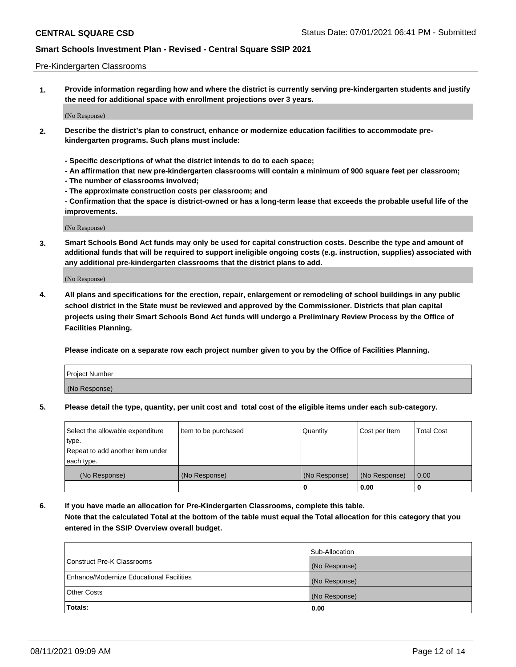### Pre-Kindergarten Classrooms

**1. Provide information regarding how and where the district is currently serving pre-kindergarten students and justify the need for additional space with enrollment projections over 3 years.**

(No Response)

- **2. Describe the district's plan to construct, enhance or modernize education facilities to accommodate prekindergarten programs. Such plans must include:**
	- **Specific descriptions of what the district intends to do to each space;**
	- **An affirmation that new pre-kindergarten classrooms will contain a minimum of 900 square feet per classroom;**
	- **The number of classrooms involved;**
	- **The approximate construction costs per classroom; and**
	- **Confirmation that the space is district-owned or has a long-term lease that exceeds the probable useful life of the improvements.**

(No Response)

**3. Smart Schools Bond Act funds may only be used for capital construction costs. Describe the type and amount of additional funds that will be required to support ineligible ongoing costs (e.g. instruction, supplies) associated with any additional pre-kindergarten classrooms that the district plans to add.**

(No Response)

**4. All plans and specifications for the erection, repair, enlargement or remodeling of school buildings in any public school district in the State must be reviewed and approved by the Commissioner. Districts that plan capital projects using their Smart Schools Bond Act funds will undergo a Preliminary Review Process by the Office of Facilities Planning.**

**Please indicate on a separate row each project number given to you by the Office of Facilities Planning.**

| Project Number |  |
|----------------|--|
| (No Response)  |  |
|                |  |

**5. Please detail the type, quantity, per unit cost and total cost of the eligible items under each sub-category.**

| Select the allowable expenditure | Item to be purchased | Quantity      | Cost per Item | <b>Total Cost</b> |
|----------------------------------|----------------------|---------------|---------------|-------------------|
| type.                            |                      |               |               |                   |
| Repeat to add another item under |                      |               |               |                   |
| each type.                       |                      |               |               |                   |
| (No Response)                    | (No Response)        | (No Response) | (No Response) | 0.00              |
|                                  |                      | U             | 0.00          |                   |

**6. If you have made an allocation for Pre-Kindergarten Classrooms, complete this table. Note that the calculated Total at the bottom of the table must equal the Total allocation for this category that you entered in the SSIP Overview overall budget.**

|                                          | Sub-Allocation |
|------------------------------------------|----------------|
| Construct Pre-K Classrooms               | (No Response)  |
| Enhance/Modernize Educational Facilities | (No Response)  |
| <b>Other Costs</b>                       | (No Response)  |
| Totals:                                  | 0.00           |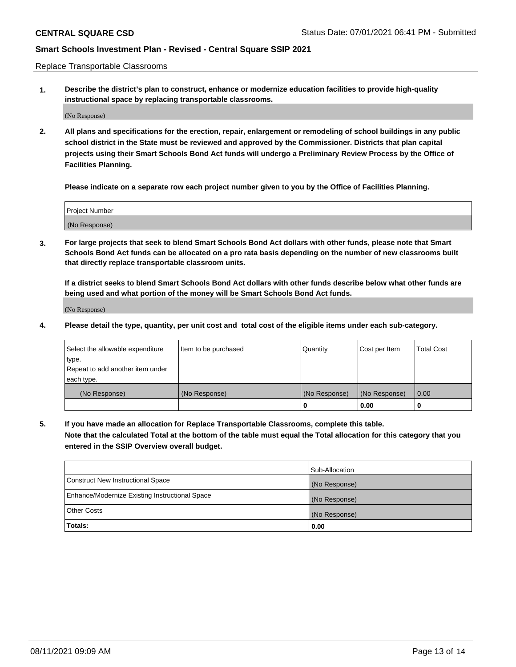Replace Transportable Classrooms

**1. Describe the district's plan to construct, enhance or modernize education facilities to provide high-quality instructional space by replacing transportable classrooms.**

(No Response)

**2. All plans and specifications for the erection, repair, enlargement or remodeling of school buildings in any public school district in the State must be reviewed and approved by the Commissioner. Districts that plan capital projects using their Smart Schools Bond Act funds will undergo a Preliminary Review Process by the Office of Facilities Planning.**

**Please indicate on a separate row each project number given to you by the Office of Facilities Planning.**

| Project Number |  |
|----------------|--|
|                |  |
| (No Response)  |  |

**3. For large projects that seek to blend Smart Schools Bond Act dollars with other funds, please note that Smart Schools Bond Act funds can be allocated on a pro rata basis depending on the number of new classrooms built that directly replace transportable classroom units.**

**If a district seeks to blend Smart Schools Bond Act dollars with other funds describe below what other funds are being used and what portion of the money will be Smart Schools Bond Act funds.**

(No Response)

**4. Please detail the type, quantity, per unit cost and total cost of the eligible items under each sub-category.**

| Select the allowable expenditure | Item to be purchased | Quantity      | Cost per Item | Total Cost |
|----------------------------------|----------------------|---------------|---------------|------------|
| ∣type.                           |                      |               |               |            |
| Repeat to add another item under |                      |               |               |            |
| each type.                       |                      |               |               |            |
| (No Response)                    | (No Response)        | (No Response) | (No Response) | 0.00       |
|                                  |                      | u             | 0.00          |            |

**5. If you have made an allocation for Replace Transportable Classrooms, complete this table. Note that the calculated Total at the bottom of the table must equal the Total allocation for this category that you entered in the SSIP Overview overall budget.**

|                                                | Sub-Allocation |
|------------------------------------------------|----------------|
| Construct New Instructional Space              | (No Response)  |
| Enhance/Modernize Existing Instructional Space | (No Response)  |
| Other Costs                                    | (No Response)  |
| Totals:                                        | 0.00           |